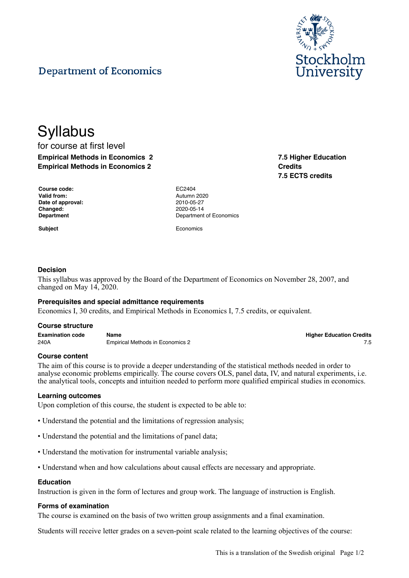

# **Department of Economics**

**Syllabus** for course at first level **Empirical Methods in Economics 2 Empirical Methods in Economics 2**

| Course code:      |  |
|-------------------|--|
| Valid from:       |  |
| Date of approval: |  |
| Changed:          |  |
| <b>Department</b> |  |

**Course code:** EC2404 **Valid from:** Autumn 2020 **Date of approval:** 2010-05-27 **Changed:** 2020-05-14 **Department of Economics** 

**Subject** Economics

## **Decision**

This syllabus was approved by the Board of the Department of Economics on November 28, 2007, and changed on May 14, 2020.

## **Prerequisites and special admittance requirements**

Economics I, 30 credits, and Empirical Methods in Economics I, 7.5 credits, or equivalent.

#### **Course structure**

| <b>Examination code</b> | Name                             | <b>Higher Education Credits</b> |
|-------------------------|----------------------------------|---------------------------------|
| 240A                    | Empirical Methods in Economics 2 |                                 |

## **Course content**

The aim of this course is to provide a deeper understanding of the statistical methods needed in order to analyse economic problems empirically. The course covers OLS, panel data, IV, and natural experiments, i.e. the analytical tools, concepts and intuition needed to perform more qualified empirical studies in economics.

## **Learning outcomes**

Upon completion of this course, the student is expected to be able to:

- Understand the potential and the limitations of regression analysis;
- Understand the potential and the limitations of panel data;
- Understand the motivation for instrumental variable analysis;
- Understand when and how calculations about causal effects are necessary and appropriate.

#### **Education**

Instruction is given in the form of lectures and group work. The language of instruction is English.

## **Forms of examination**

The course is examined on the basis of two written group assignments and a final examination.

Students will receive letter grades on a seven-point scale related to the learning objectives of the course:

**7.5 Higher Education Credits 7.5 ECTS credits**

**Higher Education Credits**